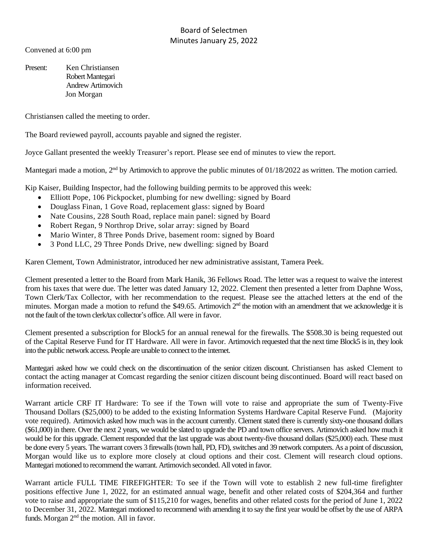## Board of Selectmen Minutes January 25, 2022

Convened at 6:00 pm

Present: Ken Christiansen Robert Mantegari Andrew Artimovich Jon Morgan

Christiansen called the meeting to order.

The Board reviewed payroll, accounts payable and signed the register.

Joyce Gallant presented the weekly Treasurer's report. Please see end of minutes to view the report.

Mantegari made a motion, 2<sup>nd</sup> by Artimovich to approve the public minutes of 01/18/2022 as written. The motion carried.

Kip Kaiser, Building Inspector, had the following building permits to be approved this week:

- Elliott Pope, 106 Pickpocket, plumbing for new dwelling: signed by Board
- Douglass Finan, 1 Gove Road, replacement glass: signed by Board
- Nate Cousins, 228 South Road, replace main panel: signed by Board
- Robert Regan, 9 Northrop Drive, solar array: signed by Board
- Mario Winter, 8 Three Ponds Drive, basement room: signed by Board
- 3 Pond LLC, 29 Three Ponds Drive, new dwelling: signed by Board

Karen Clement, Town Administrator, introduced her new administrative assistant, Tamera Peek.

Clement presented a letter to the Board from Mark Hanik, 36 Fellows Road. The letter was a request to waive the interest from his taxes that were due. The letter was dated January 12, 2022. Clement then presented a letter from Daphne Woss, Town Clerk/Tax Collector, with her recommendation to the request. Please see the attached letters at the end of the minutes. Morgan made a motion to refund the \$49.65. Artimovich 2<sup>nd</sup> the motion with an amendment that we acknowledge it is not the fault of the town clerk/tax collector's office. All were in favor.

Clement presented a subscription for Block5 for an annual renewal for the firewalls. The \$508.30 is being requested out of the Capital Reserve Fund for IT Hardware. All were in favor. Artimovich requested that the next time Block5 is in, they look into the public network access. People are unable to connect to the internet.

Mantegari asked how we could check on the discontinuation of the senior citizen discount. Christiansen has asked Clement to contact the acting manager at Comcast regarding the senior citizen discount being discontinued. Board will react based on information received.

Warrant article CRF IT Hardware: To see if the Town will vote to raise and appropriate the sum of Twenty-Five Thousand Dollars (\$25,000) to be added to the existing Information Systems Hardware Capital Reserve Fund. (Majority vote required). Artimovich asked how much was in the account currently. Clement stated there is currently sixty-one thousand dollars (\$61,000) in there. Over the next 2 years, we would be slated to upgrade the PD and town office servers. Artimovich asked how much it would be for this upgrade. Clement responded that the last upgrade was about twenty-five thousand dollars (\$25,000) each. These must be done every 5 years. The warrant covers 3 firewalls(town hall, PD, FD), switches and 39 network computers. As a point of discussion, Morgan would like us to explore more closely at cloud options and their cost. Clement will research cloud options. Mantegari motioned to recommend the warrant. Artimovich seconded. All voted in favor.

Warrant article FULL TIME FIREFIGHTER: To see if the Town will vote to establish 2 new full-time firefighter positions effective June 1, 2022, for an estimated annual wage, benefit and other related costs of \$204,364 and further vote to raise and appropriate the sum of \$115,210 for wages, benefits and other related costs for the period of June 1, 2022 to December 31, 2022. Mantegari motioned to recommend with amending it to say the first year would be offset by the use of ARPA funds. Morgan 2<sup>nd</sup> the motion. All in favor.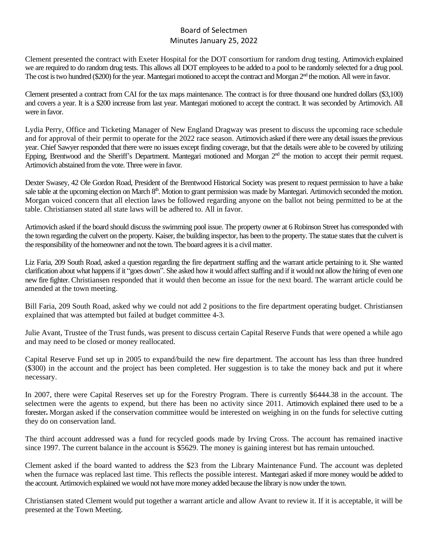## Board of Selectmen Minutes January 25, 2022

Clement presented the contract with Exeter Hospital for the DOT consortium for random drug testing. Artimovich explained we are required to do random drug tests. This allows all DOT employees to be added to a pool to be randomly selected for a drug pool. The cost is two hundred (\$200) for the year. Mantegari motioned to accept the contract and Morgan 2<sup>nd</sup> the motion. All were in favor.

Clement presented a contract from CAI for the tax maps maintenance. The contract is for three thousand one hundred dollars (\$3,100) and covers a year. It is a \$200 increase from last year. Mantegari motioned to accept the contract. It was seconded by Artimovich. All were in favor.

Lydia Perry, Office and Ticketing Manager of New England Dragway was present to discuss the upcoming race schedule and for approval of their permit to operate for the 2022 race season. Artimovich asked if there were any detail issues the previous year. Chief Sawyer responded that there were no issues except finding coverage, but that the details were able to be covered by utilizing Epping, Brentwood and the Sheriff's Department. Mantegari motioned and Morgan 2<sup>nd</sup> the motion to accept their permit request. Artimovich abstained from the vote. Three were in favor.

Dexter Swasey, 42 Ole Gordon Road, President of the Brentwood Historical Society was present to request permission to have a bake sale table at the upcoming election on March 8<sup>th</sup>. Motion to grant permission was made by Mantegari. Artimovich seconded the motion. Morgan voiced concern that all election laws be followed regarding anyone on the ballot not being permitted to be at the table. Christiansen stated all state laws will be adhered to. All in favor.

Artimovich asked if the board should discuss the swimming pool issue. The property owner at 6 Robinson Street has corresponded with the town regarding the culvert on the property. Kaiser, the building inspector, has been to the property. The statue states that the culvert is the responsibility of the homeowner and not the town. The board agrees it is a civil matter.

Liz Faria, 209 South Road, asked a question regarding the fire department staffing and the warrant article pertaining to it. She wanted clarification about what happens if it "goes down". She asked how it would affect staffing and if it would not allow the hiring of even one new fire fighter. Christiansen responded that it would then become an issue for the next board. The warrant article could be amended at the town meeting.

Bill Faria, 209 South Road, asked why we could not add 2 positions to the fire department operating budget. Christiansen explained that was attempted but failed at budget committee 4-3.

Julie Avant, Trustee of the Trust funds, was present to discuss certain Capital Reserve Funds that were opened a while ago and may need to be closed or money reallocated.

Capital Reserve Fund set up in 2005 to expand/build the new fire department. The account has less than three hundred (\$300) in the account and the project has been completed. Her suggestion is to take the money back and put it where necessary.

In 2007, there were Capital Reserves set up for the Forestry Program. There is currently \$6444.38 in the account. The selectmen were the agents to expend, but there has been no activity since 2011. Artimovich explained there used to be a forester**.** Morgan asked if the conservation committee would be interested on weighing in on the funds for selective cutting they do on conservation land.

The third account addressed was a fund for recycled goods made by Irving Cross. The account has remained inactive since 1997. The current balance in the account is \$5629. The money is gaining interest but has remain untouched.

Clement asked if the board wanted to address the \$23 from the Library Maintenance Fund. The account was depleted when the furnace was replaced last time. This reflects the possible interest. Mantegari asked if more money would be added to the account. Artimovich explained we would not have more money added because the library is now under the town.

Christiansen stated Clement would put together a warrant article and allow Avant to review it. If it is acceptable, it will be presented at the Town Meeting.